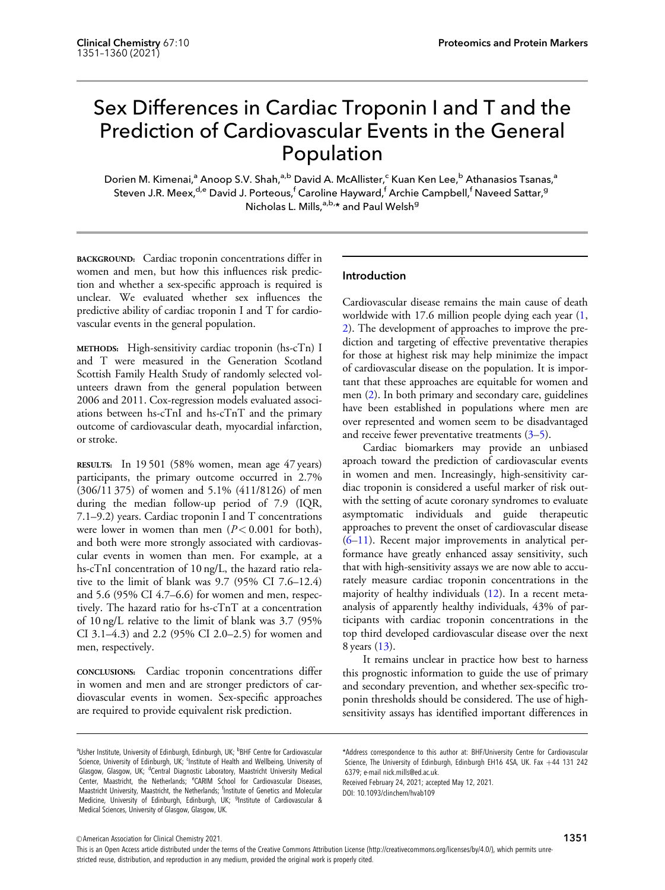# Sex Differences in Cardiac Troponin I and T and the Prediction of Cardiovascular Events in the General Population

Dorien M. Kimenai,<sup>a</sup> Anoop S.V. Shah,<sup>a,b</sup> David A. McAllister,<sup>c</sup> Kuan Ken Lee,<sup>b</sup> Athanasios Tsanas,<sup>a</sup> Steven J.R. Meex,<sup>d,e</sup> David J. Porteous,<sup>f</sup> Caroline Hayward,<sup>f</sup> Archie Campbell,<sup>f</sup> Naveed Sattar,<sup>g</sup> Nicholas L. Mills, a,b, and Paul Welsh<sup>g</sup>

BACKGROUND: Cardiac troponin concentrations differ in women and men, but how this influences risk prediction and whether a sex-specific approach is required is unclear. We evaluated whether sex influences the predictive ability of cardiac troponin I and T for cardiovascular events in the general population.

METHODS: High-sensitivity cardiac troponin (hs-cTn) I and T were measured in the Generation Scotland Scottish Family Health Study of randomly selected volunteers drawn from the general population between 2006 and 2011. Cox-regression models evaluated associations between hs-cTnI and hs-cTnT and the primary outcome of cardiovascular death, myocardial infarction, or stroke.

RESULTS: In 19 501 (58% women, mean age 47 years) participants, the primary outcome occurred in 2.7% (306/11 375) of women and 5.1% (411/8126) of men during the median follow-up period of 7.9 (IQR, 7.1–9.2) years. Cardiac troponin I and T concentrations were lower in women than men  $(P< 0.001$  for both), and both were more strongly associated with cardiovascular events in women than men. For example, at a hs-cTnI concentration of 10 ng/L, the hazard ratio relative to the limit of blank was 9.7 (95% CI 7.6–12.4) and 5.6 (95% CI 4.7–6.6) for women and men, respectively. The hazard ratio for hs-cTnT at a concentration of 10 ng/L relative to the limit of blank was 3.7 (95% CI 3.1–4.3) and 2.2 (95% CI 2.0–2.5) for women and men, respectively.

CONCLUSIONS: Cardiac troponin concentrations differ in women and men and are stronger predictors of cardiovascular events in women. Sex-specific approaches are required to provide equivalent risk prediction.

# Introduction

Cardiovascular disease remains the main cause of death worldwide with 17.6 million people dying each year ([1,](#page-8-0) [2](#page-8-0)). The development of approaches to improve the prediction and targeting of effective preventative therapies for those at highest risk may help minimize the impact of cardiovascular disease on the population. It is important that these approaches are equitable for women and men [\(2](#page-8-0)). In both primary and secondary care, guidelines have been established in populations where men are over represented and women seem to be disadvantaged and receive fewer preventative treatments  $(3-5)$ .

Cardiac biomarkers may provide an unbiased aproach toward the prediction of cardiovascular events in women and men. Increasingly, high-sensitivity cardiac troponin is considered a useful marker of risk outwith the setting of acute coronary syndromes to evaluate asymptomatic individuals and guide therapeutic approaches to prevent the onset of cardiovascular disease [\(6–11\)](#page-8-0). Recent major improvements in analytical performance have greatly enhanced assay sensitivity, such that with high-sensitivity assays we are now able to accurately measure cardiac troponin concentrations in the majority of healthy individuals ([12\)](#page-8-0). In a recent metaanalysis of apparently healthy individuals, 43% of participants with cardiac troponin concentrations in the top third developed cardiovascular disease over the next 8 years [\(13](#page-8-0)).

It remains unclear in practice how best to harness this prognostic information to guide the use of primary and secondary prevention, and whether sex-specific troponin thresholds should be considered. The use of highsensitivity assays has identified important differences in

\*Address correspondence to this author at: BHF/University Centre for Cardiovascular Science, The University of Edinburgh, Edinburgh EH16 4SA, UK. Fax  $+44$  131 242 6379; e-mail [nick.mills@ed.ac.uk.](mailto:nick.mills@ed.ac.uk)

Received February 24, 2021; accepted May 12, 2021. DOI: 10.1093/clinchem/hvab109

V<sup>C</sup> American Association for Clinical Chemistry 2021.

This is an Open Access article distributed under the terms of the Creative Commons Attribution License (http://creativecommons.org/licenses/by/4.0/), which permits unrestricted reuse, distribution, and reproduction in any medium, provided the original work is properly cited.

<sup>&</sup>lt;sup>a</sup>Usher Institute, University of Edinburgh, Edinburgh, UK; <sup>b</sup>BHF Centre for Cardiovascular Science, University of Edinburgh, UK; <sup>c</sup>Institute of Health and Wellbeing, University of Glasgow, Glasgow, UK; <sup>d</sup>Central Diagnostic Laboratory, Maastricht University Medical Center, Maastricht, the Netherlands; <sup>e</sup>CARIM School for Cardiovascular Diseases, Maastricht University, Maastricht, the Netherlands; <sup>f</sup>Institute of Genetics and Molecular Medicine, University of Edinburgh, Edinburgh, UK; <sup>g</sup>Institute of Cardiovascular & Medical Sciences, University of Glasgow, Glasgow, UK.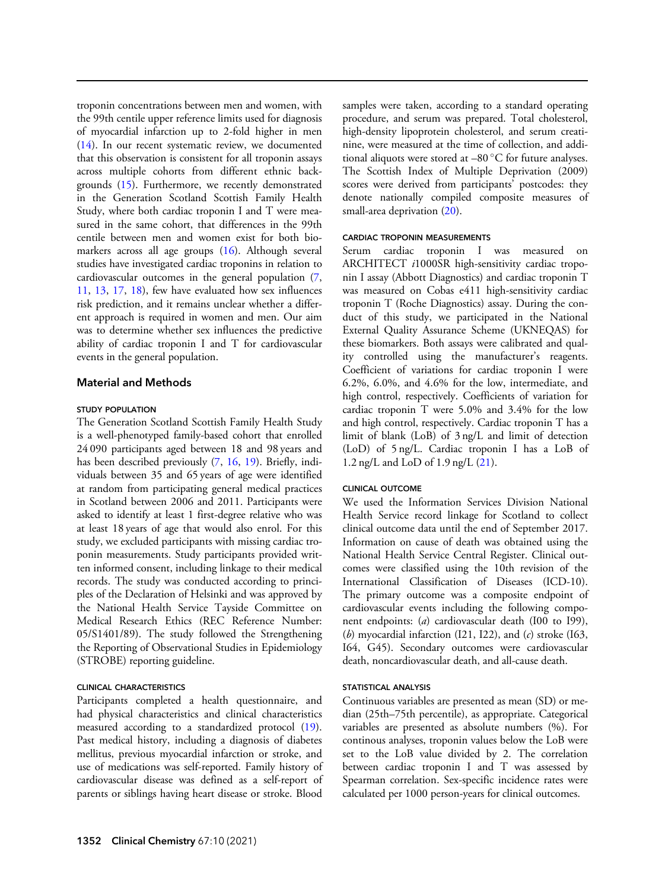troponin concentrations between men and women, with the 99th centile upper reference limits used for diagnosis of myocardial infarction up to 2-fold higher in men ([14\)](#page-8-0). In our recent systematic review, we documented that this observation is consistent for all troponin assays across multiple cohorts from different ethnic backgrounds ([15\)](#page-8-0). Furthermore, we recently demonstrated in the Generation Scotland Scottish Family Health Study, where both cardiac troponin I and T were measured in the same cohort, that differences in the 99th centile between men and women exist for both biomarkers across all age groups [\(16](#page-8-0)). Although several studies have investigated cardiac troponins in relation to cardiovascular outcomes in the general population ([7,](#page-8-0) [11](#page-8-0), [13](#page-8-0), [17](#page-9-0), [18](#page-9-0)), few have evaluated how sex influences risk prediction, and it remains unclear whether a different approach is required in women and men. Our aim was to determine whether sex influences the predictive ability of cardiac troponin I and T for cardiovascular events in the general population.

## Material and Methods

#### STUDY POPULATION

The Generation Scotland Scottish Family Health Study is a well-phenotyped family-based cohort that enrolled 24 090 participants aged between 18 and 98 years and has been described previously ([7,](#page-8-0) [16](#page-8-0), [19](#page-9-0)). Briefly, individuals between 35 and 65 years of age were identified at random from participating general medical practices in Scotland between 2006 and 2011. Participants were asked to identify at least 1 first-degree relative who was at least 18 years of age that would also enrol. For this study, we excluded participants with missing cardiac troponin measurements. Study participants provided written informed consent, including linkage to their medical records. The study was conducted according to principles of the Declaration of Helsinki and was approved by the National Health Service Tayside Committee on Medical Research Ethics (REC Reference Number: 05/S1401/89). The study followed the Strengthening the Reporting of Observational Studies in Epidemiology (STROBE) reporting guideline.

## CLINICAL CHARACTERISTICS

Participants completed a health questionnaire, and had physical characteristics and clinical characteristics measured according to a standardized protocol ([19\)](#page-9-0). Past medical history, including a diagnosis of diabetes mellitus, previous myocardial infarction or stroke, and use of medications was self-reported. Family history of cardiovascular disease was defined as a self-report of parents or siblings having heart disease or stroke. Blood samples were taken, according to a standard operating procedure, and serum was prepared. Total cholesterol, high-density lipoprotein cholesterol, and serum creatinine, were measured at the time of collection, and additional aliquots were stored at  $-80$  °C for future analyses. The Scottish Index of Multiple Deprivation (2009) scores were derived from participants' postcodes: they denote nationally compiled composite measures of small-area deprivation [\(20](#page-9-0)).

#### CARDIAC TROPONIN MEASUREMENTS

Serum cardiac troponin I was measured on ARCHITECT i1000SR high-sensitivity cardiac troponin I assay (Abbott Diagnostics) and cardiac troponin T was measured on Cobas e411 high-sensitivity cardiac troponin T (Roche Diagnostics) assay. During the conduct of this study, we participated in the National External Quality Assurance Scheme (UKNEQAS) for these biomarkers. Both assays were calibrated and quality controlled using the manufacturer's reagents. Coefficient of variations for cardiac troponin I were 6.2%, 6.0%, and 4.6% for the low, intermediate, and high control, respectively. Coefficients of variation for cardiac troponin T were 5.0% and 3.4% for the low and high control, respectively. Cardiac troponin T has a limit of blank (LoB) of 3 ng/L and limit of detection (LoD) of 5 ng/L. Cardiac troponin I has a LoB of 1.2 ng/L and LoD of 1.9 ng/L ([21\)](#page-9-0).

## CLINICAL OUTCOME

We used the Information Services Division National Health Service record linkage for Scotland to collect clinical outcome data until the end of September 2017. Information on cause of death was obtained using the National Health Service Central Register. Clinical outcomes were classified using the 10th revision of the International Classification of Diseases (ICD-10). The primary outcome was a composite endpoint of cardiovascular events including the following component endpoints: (a) cardiovascular death (I00 to I99), (b) myocardial infarction  $(121, 122)$ , and  $(c)$  stroke  $(163, 122)$ I64, G45). Secondary outcomes were cardiovascular death, noncardiovascular death, and all-cause death.

#### STATISTICAL ANALYSIS

Continuous variables are presented as mean (SD) or median (25th–75th percentile), as appropriate. Categorical variables are presented as absolute numbers (%). For continous analyses, troponin values below the LoB were set to the LoB value divided by 2. The correlation between cardiac troponin I and T was assessed by Spearman correlation. Sex-specific incidence rates were calculated per 1000 person-years for clinical outcomes.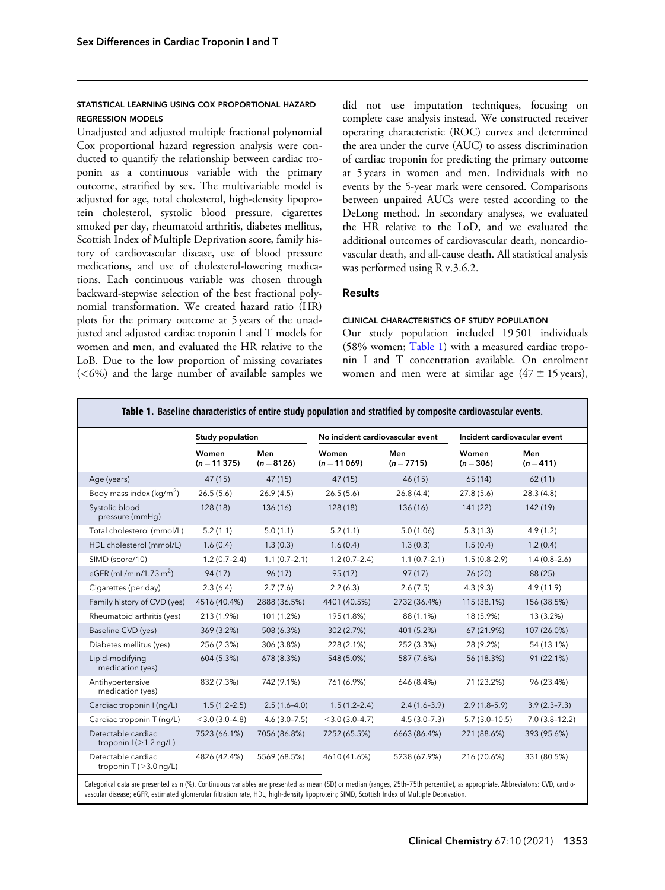# <span id="page-2-0"></span>STATISTICAL LEARNING USING COX PROPORTIONAL HAZARD REGRESSION MODELS

Unadjusted and adjusted multiple fractional polynomial Cox proportional hazard regression analysis were conducted to quantify the relationship between cardiac troponin as a continuous variable with the primary outcome, stratified by sex. The multivariable model is adjusted for age, total cholesterol, high-density lipoprotein cholesterol, systolic blood pressure, cigarettes smoked per day, rheumatoid arthritis, diabetes mellitus, Scottish Index of Multiple Deprivation score, family history of cardiovascular disease, use of blood pressure medications, and use of cholesterol-lowering medications. Each continuous variable was chosen through backward-stepwise selection of the best fractional polynomial transformation. We created hazard ratio (HR) plots for the primary outcome at 5 years of the unadjusted and adjusted cardiac troponin I and T models for women and men, and evaluated the HR relative to the LoB. Due to the low proportion of missing covariates  $(<6%)$  and the large number of available samples we did not use imputation techniques, focusing on complete case analysis instead. We constructed receiver operating characteristic (ROC) curves and determined the area under the curve (AUC) to assess discrimination of cardiac troponin for predicting the primary outcome at 5 years in women and men. Individuals with no events by the 5-year mark were censored. Comparisons between unpaired AUCs were tested according to the DeLong method. In secondary analyses, we evaluated the HR relative to the LoD, and we evaluated the additional outcomes of cardiovascular death, noncardiovascular death, and all-cause death. All statistical analysis was performed using R v.3.6.2.

# Results

#### CLINICAL CHARACTERISTICS OF STUDY POPULATION

Our study population included 19 501 individuals (58% women; Table 1) with a measured cardiac troponin I and T concentration available. On enrolment women and men were at similar age  $(47 \pm 15 \text{ years})$ ,

|                                                           | Study population       |                     | No incident cardiovascular event |                     | Incident cardiovacular event |                    |
|-----------------------------------------------------------|------------------------|---------------------|----------------------------------|---------------------|------------------------------|--------------------|
|                                                           | Women<br>$(n = 11375)$ | Men<br>$(n = 8126)$ | Women<br>$(n = 11069)$           | Men<br>$(n = 7715)$ | Women<br>$(n=306)$           | Men<br>$(n = 411)$ |
| Age (years)                                               | 47(15)                 | 47 (15)             | 47(15)                           | 46(15)              | 65(14)                       | 62(11)             |
| Body mass index ( $kg/m2$ )                               | 26.5(5.6)              | 26.9(4.5)           | 26.5(5.6)                        | 26.8(4.4)           | 27.8(5.6)                    | 28.3(4.8)          |
| Systolic blood<br>pressure (mmHq)                         | 128(18)                | 136(16)             | 128(18)                          | 136(16)             | 141(22)                      | 142(19)            |
| Total cholesterol (mmol/L)                                | 5.2(1.1)               | 5.0(1.1)            | 5.2(1.1)                         | 5.0(1.06)           | 5.3(1.3)                     | 4.9(1.2)           |
| HDL cholesterol (mmol/L)                                  | 1.6(0.4)               | 1.3(0.3)            | 1.6(0.4)                         | 1.3(0.3)            | 1.5(0.4)                     | 1.2(0.4)           |
| SIMD (score/10)                                           | $1.2(0.7-2.4)$         | $1.1(0.7-2.1)$      | $1.2(0.7-2.4)$                   | $1.1(0.7-2.1)$      | $1.5(0.8-2.9)$               | $1.4(0.8-2.6)$     |
| eGFR (mL/min/1.73 $m2$ )                                  | 94(17)                 | 96(17)              | 95(17)                           | 97(17)              | 76(20)                       | 88 (25)            |
| Cigarettes (per day)                                      | 2.3(6.4)               | 2.7(7.6)            | 2.2(6.3)                         | 2.6(7.5)            | 4.3(9.3)                     | 4.9(11.9)          |
| Family history of CVD (yes)                               | 4516 (40.4%)           | 2888 (36.5%)        | 4401 (40.5%)                     | 2732 (36.4%)        | 115 (38.1%)                  | 156 (38.5%)        |
| Rheumatoid arthritis (yes)                                | 213 (1.9%)             | 101 (1.2%)          | 195 (1.8%)                       | 88 (1.1%)           | 18 (5.9%)                    | 13 (3.2%)          |
| Baseline CVD (yes)                                        | 369 (3.2%)             | 508 (6.3%)          | 302 (2.7%)                       | 401 (5.2%)          | 67 (21.9%)                   | 107 (26.0%)        |
| Diabetes mellitus (yes)                                   | 256 (2.3%)             | 306 (3.8%)          | 228 (2.1%)                       | 252 (3.3%)          | 28 (9.2%)                    | 54 (13.1%)         |
| Lipid-modifying<br>medication (yes)                       | 604 (5.3%)             | 678 (8.3%)          | 548 (5.0%)                       | 587 (7.6%)          | 56 (18.3%)                   | 91(22.1%)          |
| Antihypertensive<br>medication (yes)                      | 832 (7.3%)             | 742 (9.1%)          | 761 (6.9%)                       | 646 (8.4%)          | 71 (23.2%)                   | 96 (23.4%)         |
| Cardiac troponin I (ng/L)                                 | $1.5(1.2 - 2.5)$       | $2.5(1.6-4.0)$      | $1.5(1.2 - 2.4)$                 | $2.4(1.6-3.9)$      | $2.9(1.8-5.9)$               | $3.9(2.3 - 7.3)$   |
| Cardiac troponin T (ng/L)                                 | $<$ 3.0 (3.0-4.8)      | $4.6(3.0 - 7.5)$    | $<$ 3.0 (3.0-4.7)                | $4.5(3.0 - 7.3)$    | $5.7(3.0-10.5)$              | $7.0(3.8-12.2)$    |
| Detectable cardiac<br>troponin $I(\geq 1.2 \text{ ng/L})$ | 7523 (66.1%)           | 7056 (86.8%)        | 7252 (65.5%)                     | 6663 (86.4%)        | 271 (88.6%)                  | 393 (95.6%)        |
| Detectable cardiac<br>troponin T ( $\geq$ 3.0 ng/L)       | 4826 (42.4%)           | 5569 (68.5%)        | 4610 (41.6%)                     | 5238 (67.9%)        | 216 (70.6%)                  | 331 (80.5%)        |

Categorical data are presented as n (%). Continuous variables are presented as mean (SD) or median (ranges, 25th–75th percentile), as appropriate. Abbreviatons: CVD, cardiovascular disease; eGFR, estimated glomerular filtration rate, HDL, high-density lipoprotein; SIMD, Scottish Index of Multiple Deprivation.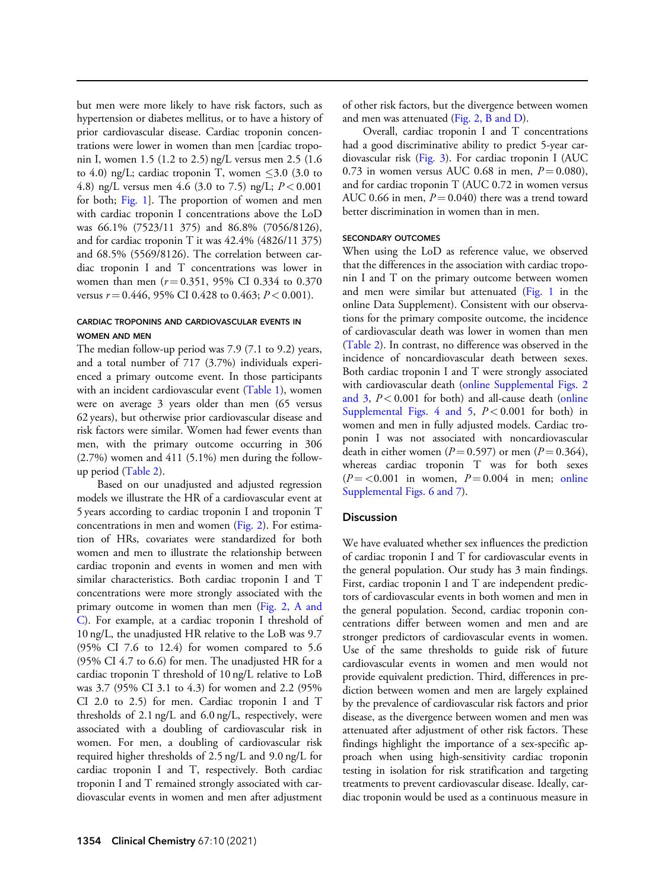but men were more likely to have risk factors, such as hypertension or diabetes mellitus, or to have a history of prior cardiovascular disease. Cardiac troponin concentrations were lower in women than men [cardiac troponin I, women 1.5 (1.2 to 2.5) ng/L versus men 2.5 (1.6 to 4.0) ng/L; cardiac troponin T, women  $\leq$ 3.0 (3.0 to 4.8) ng/L versus men 4.6 (3.0 to 7.5) ng/L;  $P < 0.001$ for both; [Fig. 1](#page-4-0)]. The proportion of women and men with cardiac troponin I concentrations above the LoD was 66.1% (7523/11 375) and 86.8% (7056/8126), and for cardiac troponin T it was 42.4% (4826/11 375) and 68.5% (5569/8126). The correlation between cardiac troponin I and T concentrations was lower in women than men  $(r = 0.351, 95\% \text{ CI } 0.334 \text{ to } 0.370$ versus  $r = 0.446$ , 95% CI 0.428 to 0.463;  $P < 0.001$ ).

# CARDIAC TROPONINS AND CARDIOVASCULAR EVENTS IN WOMEN AND MEN

The median follow-up period was 7.9 (7.1 to 9.2) years, and a total number of 717 (3.7%) individuals experienced a primary outcome event. In those participants with an incident cardiovascular event ([Table 1\)](#page-2-0), women were on average 3 years older than men (65 versus 62 years), but otherwise prior cardiovascular disease and risk factors were similar. Women had fewer events than men, with the primary outcome occurring in 306 (2.7%) women and 411 (5.1%) men during the followup period [\(Table 2\)](#page-5-0).

Based on our unadjusted and adjusted regression models we illustrate the HR of a cardiovascular event at 5 years according to cardiac troponin I and troponin T concentrations in men and women [\(Fig. 2](#page-5-0)). For estimation of HRs, covariates were standardized for both women and men to illustrate the relationship between cardiac troponin and events in women and men with similar characteristics. Both cardiac troponin I and T concentrations were more strongly associated with the primary outcome in women than men ([Fig. 2, A and](#page-5-0) [C](#page-5-0)). For example, at a cardiac troponin I threshold of 10 ng/L, the unadjusted HR relative to the LoB was 9.7 (95% CI 7.6 to 12.4) for women compared to 5.6 (95% CI 4.7 to 6.6) for men. The unadjusted HR for a cardiac troponin T threshold of 10 ng/L relative to LoB was 3.7 (95% CI 3.1 to 4.3) for women and 2.2 (95% CI 2.0 to 2.5) for men. Cardiac troponin I and T thresholds of 2.1 ng/L and 6.0 ng/L, respectively, were associated with a doubling of cardiovascular risk in women. For men, a doubling of cardiovascular risk required higher thresholds of 2.5 ng/L and 9.0 ng/L for cardiac troponin I and T, respectively. Both cardiac troponin I and T remained strongly associated with cardiovascular events in women and men after adjustment of other risk factors, but the divergence between women and men was attenuated ([Fig. 2, B and D\)](#page-5-0).

Overall, cardiac troponin I and T concentrations had a good discriminative ability to predict 5-year cardiovascular risk [\(Fig. 3\)](#page-6-0). For cardiac troponin I (AUC 0.73 in women versus AUC 0.68 in men,  $P = 0.080$ ), and for cardiac troponin T (AUC 0.72 in women versus AUC 0.66 in men,  $P = 0.040$ ) there was a trend toward better discrimination in women than in men.

#### SECONDARY OUTCOMES

When using the LoD as reference value, we observed that the differences in the association with cardiac troponin I and T on the primary outcome between women and men were similar but attenuated ([Fig. 1](#page-4-0) in the online Data Supplement). Consistent with our observations for the primary composite outcome, the incidence of cardiovascular death was lower in women than men [\(Table 2](#page-5-0)). In contrast, no difference was observed in the incidence of noncardiovascular death between sexes. Both cardiac troponin I and T were strongly associated with cardiovascular death [\(online Supplemental Figs. 2](https://academic.oup.com/clinchem/article-lookup/doi/10.1093/clinchem/hvab109#supplementary-data)) [and 3](https://academic.oup.com/clinchem/article-lookup/doi/10.1093/clinchem/hvab109#supplementary-data),  $P < 0.001$  for both) and all-cause death [\(online](https://academic.oup.com/clinchem/article-lookup/doi/10.1093/clinchem/hvab109#supplementary-data) [Supplemental Figs. 4 and 5](https://academic.oup.com/clinchem/article-lookup/doi/10.1093/clinchem/hvab109#supplementary-data),  $P < 0.001$  for both) in women and men in fully adjusted models. Cardiac troponin I was not associated with noncardiovascular death in either women ( $P = 0.597$ ) or men ( $P = 0.364$ ), whereas cardiac troponin T was for both sexes  $(P = < 0.001$  in women,  $P = 0.004$  in men; [online](https://academic.oup.com/clinchem/article-lookup/doi/10.1093/clinchem/hvab109#supplementary-data) [Supplemental Figs. 6 and 7](https://academic.oup.com/clinchem/article-lookup/doi/10.1093/clinchem/hvab109#supplementary-data)).

#### **Discussion**

We have evaluated whether sex influences the prediction of cardiac troponin I and T for cardiovascular events in the general population. Our study has 3 main findings. First, cardiac troponin I and T are independent predictors of cardiovascular events in both women and men in the general population. Second, cardiac troponin concentrations differ between women and men and are stronger predictors of cardiovascular events in women. Use of the same thresholds to guide risk of future cardiovascular events in women and men would not provide equivalent prediction. Third, differences in prediction between women and men are largely explained by the prevalence of cardiovascular risk factors and prior disease, as the divergence between women and men was attenuated after adjustment of other risk factors. These findings highlight the importance of a sex-specific approach when using high-sensitivity cardiac troponin testing in isolation for risk stratification and targeting treatments to prevent cardiovascular disease. Ideally, cardiac troponin would be used as a continuous measure in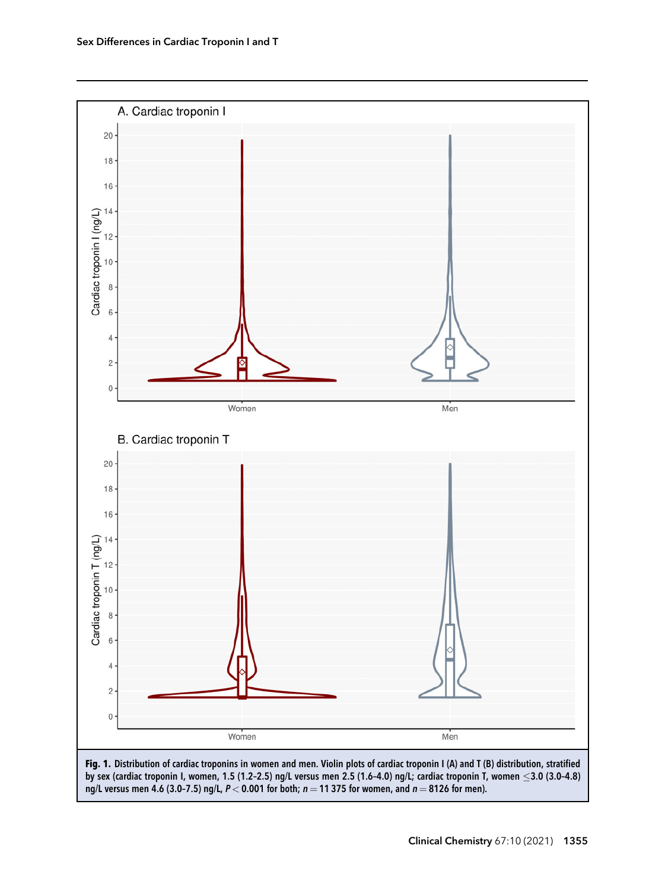<span id="page-4-0"></span>

ng/L versus men 4.6 (3.0-7.5) ng/L,  $P < 0.001$  for both;  $n = 11375$  for women, and  $n = 8126$  for men).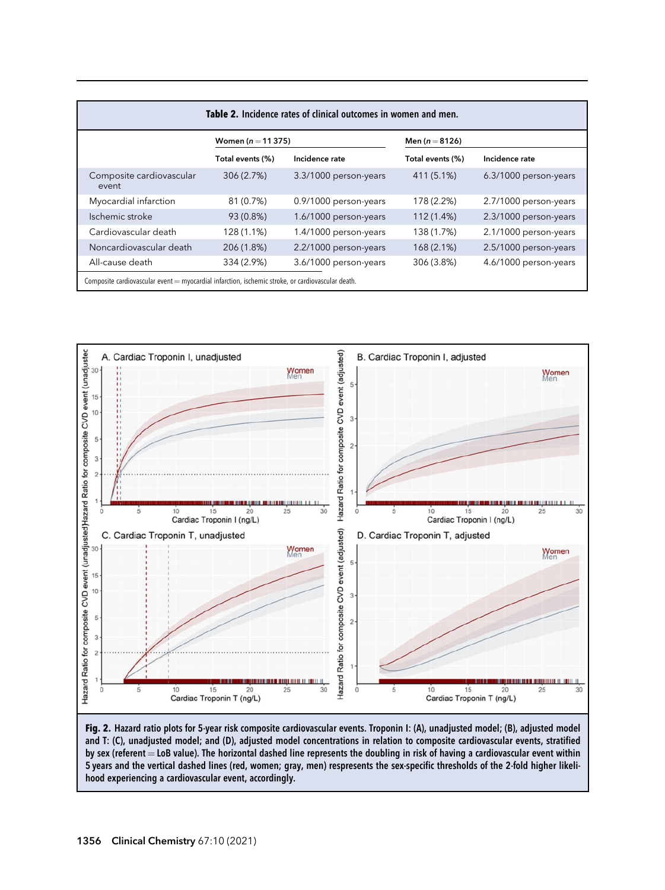<span id="page-5-0"></span>

| Table 2. Incidence rates of clinical outcomes in women and men.                                   |                       |                       |                    |                       |  |  |  |  |  |
|---------------------------------------------------------------------------------------------------|-----------------------|-----------------------|--------------------|-----------------------|--|--|--|--|--|
|                                                                                                   | Women ( $n = 11375$ ) |                       | Men ( $n = 8126$ ) |                       |  |  |  |  |  |
|                                                                                                   | Total events (%)      | Incidence rate        | Total events (%)   | Incidence rate        |  |  |  |  |  |
| Composite cardiovascular<br>event                                                                 | 306 (2.7%)            | 3.3/1000 person-years | 411 (5.1%)         | 6.3/1000 person-years |  |  |  |  |  |
| Myocardial infarction                                                                             | 81 (0.7%)             | 0.9/1000 person-years | 178 (2.2%)         | 2.7/1000 person-years |  |  |  |  |  |
| Ischemic stroke                                                                                   | 93 (0.8%)             | 1.6/1000 person-years | 112 (1.4%)         | 2.3/1000 person-years |  |  |  |  |  |
| Cardiovascular death                                                                              | 128 (1.1%)            | 1.4/1000 person-years | 138 (1.7%)         | 2.1/1000 person-years |  |  |  |  |  |
| Noncardiovascular death                                                                           | 206 (1.8%)            | 2.2/1000 person-years | 168 (2.1%)         | 2.5/1000 person-years |  |  |  |  |  |
| All-cause death                                                                                   | 334 (2.9%)            | 3.6/1000 person-years | 306 (3.8%)         | 4.6/1000 person-years |  |  |  |  |  |
| Composite cardiovascular event = myocardial infarction, ischemic stroke, or cardiovascular death. |                       |                       |                    |                       |  |  |  |  |  |



Fig. 2. Hazard ratio plots for 5-year risk composite cardiovascular events. Troponin I: (A), unadjusted model; (B), adjusted model and T: (C), unadjusted model; and (D), adjusted model concentrations in relation to composite cardiovascular events, stratified by sex (referent = LoB value). The horizontal dashed line represents the doubling in risk of having a cardiovascular event within 5 years and the vertical dashed lines (red, women; gray, men) respresents the sex-specific thresholds of the 2-fold higher likelihood experiencing a cardiovascular event, accordingly.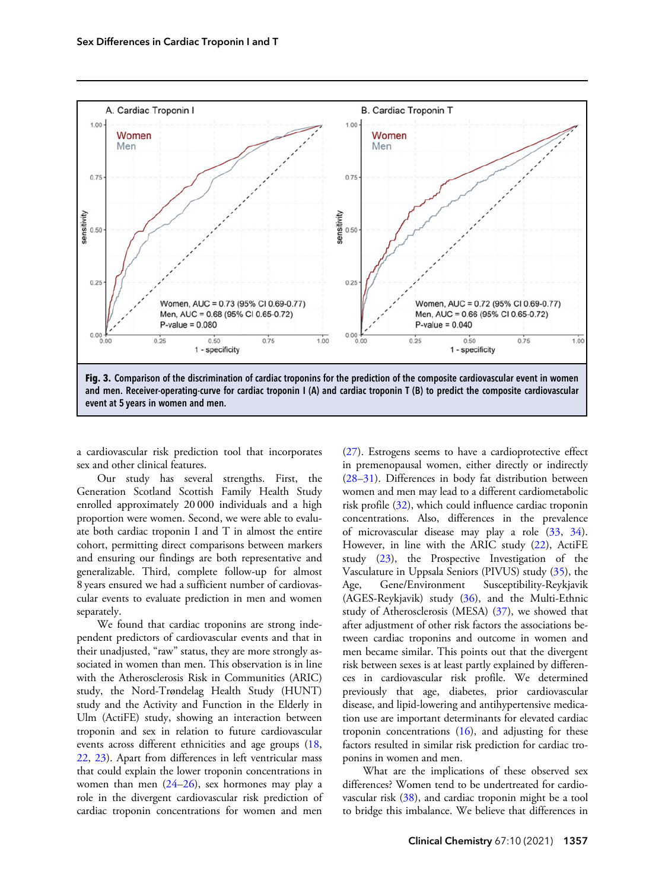<span id="page-6-0"></span>

a cardiovascular risk prediction tool that incorporates sex and other clinical features.

Our study has several strengths. First, the Generation Scotland Scottish Family Health Study enrolled approximately 20 000 individuals and a high proportion were women. Second, we were able to evaluate both cardiac troponin I and T in almost the entire cohort, permitting direct comparisons between markers and ensuring our findings are both representative and generalizable. Third, complete follow-up for almost 8 years ensured we had a sufficient number of cardiovascular events to evaluate prediction in men and women separately.

We found that cardiac troponins are strong independent predictors of cardiovascular events and that in their unadjusted, "raw" status, they are more strongly associated in women than men. This observation is in line with the Atherosclerosis Risk in Communities (ARIC) study, the Nord-Trøndelag Health Study (HUNT) study and the Activity and Function in the Elderly in Ulm (ActiFE) study, showing an interaction between troponin and sex in relation to future cardiovascular events across different ethnicities and age groups ([18,](#page-9-0) [22](#page-9-0), [23](#page-9-0)). Apart from differences in left ventricular mass that could explain the lower troponin concentrations in women than men ([24–26](#page-9-0)), sex hormones may play a role in the divergent cardiovascular risk prediction of cardiac troponin concentrations for women and men [\(27\)](#page-9-0). Estrogens seems to have a cardioprotective effect in premenopausal women, either directly or indirectly [\(28–31\)](#page-9-0). Differences in body fat distribution between women and men may lead to a different cardiometabolic risk profile [\(32](#page-9-0)), which could influence cardiac troponin concentrations. Also, differences in the prevalence of microvascular disease may play a role [\(33](#page-9-0), [34\)](#page-9-0). However, in line with the ARIC study [\(22](#page-9-0)), ActiFE study ([23\)](#page-9-0), the Prospective Investigation of the Vasculature in Uppsala Seniors (PIVUS) study ([35\)](#page-9-0), the Age, Gene/Environment Susceptibility-Reykjavik (AGES-Reykjavik) study ([36\)](#page-9-0), and the Multi-Ethnic study of Atherosclerosis (MESA) [\(37](#page-9-0)), we showed that after adjustment of other risk factors the associations between cardiac troponins and outcome in women and men became similar. This points out that the divergent risk between sexes is at least partly explained by differences in cardiovascular risk profile. We determined previously that age, diabetes, prior cardiovascular disease, and lipid-lowering and antihypertensive medication use are important determinants for elevated cardiac troponin concentrations  $(16)$  $(16)$ , and adjusting for these factors resulted in similar risk prediction for cardiac troponins in women and men.

What are the implications of these observed sex differences? Women tend to be undertreated for cardiovascular risk ([38\)](#page-9-0), and cardiac troponin might be a tool to bridge this imbalance. We believe that differences in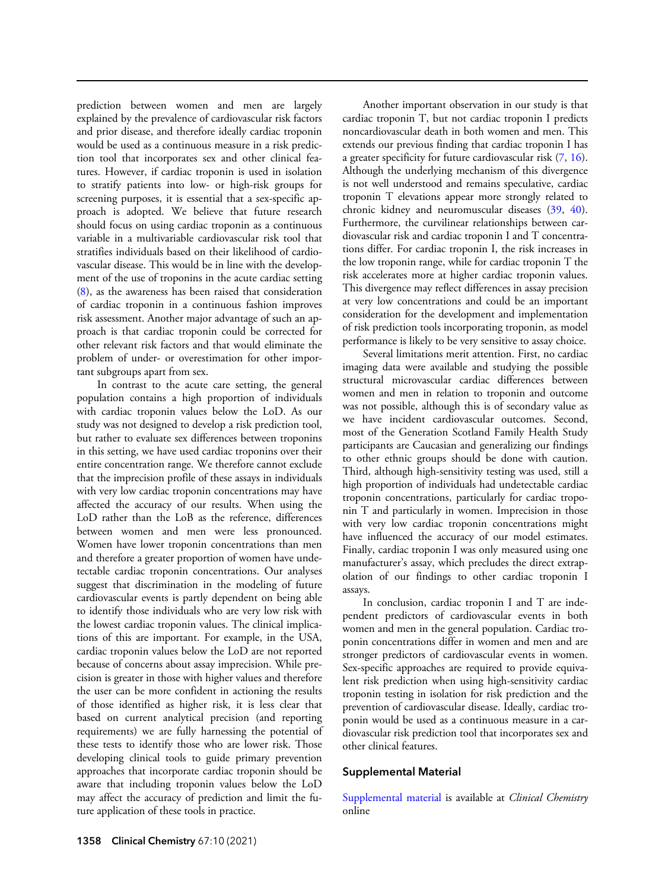prediction between women and men are largely explained by the prevalence of cardiovascular risk factors and prior disease, and therefore ideally cardiac troponin would be used as a continuous measure in a risk prediction tool that incorporates sex and other clinical features. However, if cardiac troponin is used in isolation to stratify patients into low- or high-risk groups for screening purposes, it is essential that a sex-specific approach is adopted. We believe that future research should focus on using cardiac troponin as a continuous variable in a multivariable cardiovascular risk tool that stratifies individuals based on their likelihood of cardiovascular disease. This would be in line with the development of the use of troponins in the acute cardiac setting ([8\)](#page-8-0), as the awareness has been raised that consideration of cardiac troponin in a continuous fashion improves risk assessment. Another major advantage of such an approach is that cardiac troponin could be corrected for other relevant risk factors and that would eliminate the problem of under- or overestimation for other important subgroups apart from sex.

In contrast to the acute care setting, the general population contains a high proportion of individuals with cardiac troponin values below the LoD. As our study was not designed to develop a risk prediction tool, but rather to evaluate sex differences between troponins in this setting, we have used cardiac troponins over their entire concentration range. We therefore cannot exclude that the imprecision profile of these assays in individuals with very low cardiac troponin concentrations may have affected the accuracy of our results. When using the LoD rather than the LoB as the reference, differences between women and men were less pronounced. Women have lower troponin concentrations than men and therefore a greater proportion of women have undetectable cardiac troponin concentrations. Our analyses suggest that discrimination in the modeling of future cardiovascular events is partly dependent on being able to identify those individuals who are very low risk with the lowest cardiac troponin values. The clinical implications of this are important. For example, in the USA, cardiac troponin values below the LoD are not reported because of concerns about assay imprecision. While precision is greater in those with higher values and therefore the user can be more confident in actioning the results of those identified as higher risk, it is less clear that based on current analytical precision (and reporting requirements) we are fully harnessing the potential of these tests to identify those who are lower risk. Those developing clinical tools to guide primary prevention approaches that incorporate cardiac troponin should be aware that including troponin values below the LoD may affect the accuracy of prediction and limit the future application of these tools in practice.

Another important observation in our study is that cardiac troponin T, but not cardiac troponin I predicts noncardiovascular death in both women and men. This extends our previous finding that cardiac troponin I has a greater specificity for future cardiovascular risk ([7,](#page-8-0) [16\)](#page-8-0). Although the underlying mechanism of this divergence is not well understood and remains speculative, cardiac troponin T elevations appear more strongly related to chronic kidney and neuromuscular diseases [\(39](#page-9-0), [40\)](#page-9-0). Furthermore, the curvilinear relationships between cardiovascular risk and cardiac troponin I and T concentrations differ. For cardiac troponin I, the risk increases in the low troponin range, while for cardiac troponin T the risk accelerates more at higher cardiac troponin values. This divergence may reflect differences in assay precision at very low concentrations and could be an important consideration for the development and implementation of risk prediction tools incorporating troponin, as model performance is likely to be very sensitive to assay choice.

Several limitations merit attention. First, no cardiac imaging data were available and studying the possible structural microvascular cardiac differences between women and men in relation to troponin and outcome was not possible, although this is of secondary value as we have incident cardiovascular outcomes. Second, most of the Generation Scotland Family Health Study participants are Caucasian and generalizing our findings to other ethnic groups should be done with caution. Third, although high-sensitivity testing was used, still a high proportion of individuals had undetectable cardiac troponin concentrations, particularly for cardiac troponin T and particularly in women. Imprecision in those with very low cardiac troponin concentrations might have influenced the accuracy of our model estimates. Finally, cardiac troponin I was only measured using one manufacturer's assay, which precludes the direct extrapolation of our findings to other cardiac troponin I assays.

In conclusion, cardiac troponin I and T are independent predictors of cardiovascular events in both women and men in the general population. Cardiac troponin concentrations differ in women and men and are stronger predictors of cardiovascular events in women. Sex-specific approaches are required to provide equivalent risk prediction when using high-sensitivity cardiac troponin testing in isolation for risk prediction and the prevention of cardiovascular disease. Ideally, cardiac troponin would be used as a continuous measure in a cardiovascular risk prediction tool that incorporates sex and other clinical features.

# Supplemental Material

[Supplemental material](https://academic.oup.com/clinchem/article-lookup/doi/10.1093/clinchem/hvab109#supplementary-data) is available at *Clinical Chemistry* online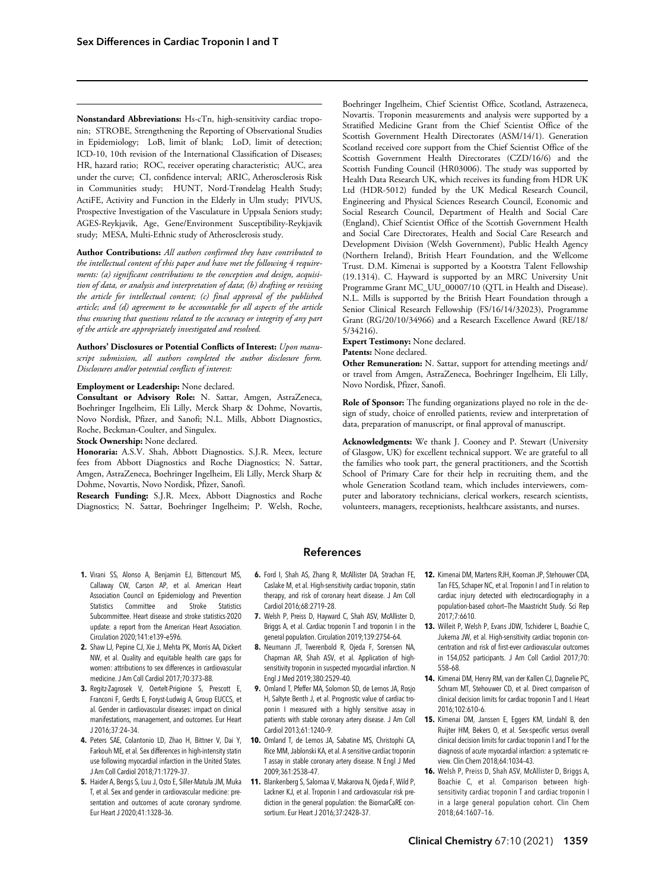<span id="page-8-0"></span>Nonstandard Abbreviations: Hs-cTn, high-sensitivity cardiac troponin; STROBE, Strengthening the Reporting of Observational Studies in Epidemiology; LoB, limit of blank; LoD, limit of detection; ICD-10, 10th revision of the International Classification of Diseases; HR, hazard ratio; ROC, receiver operating characteristic; AUC, area under the curve; CI, confidence interval; ARIC, Atherosclerosis Risk in Communities study; HUNT, Nord-Trøndelag Health Study; ActiFE, Activity and Function in the Elderly in Ulm study; PIVUS, Prospective Investigation of the Vasculature in Uppsala Seniors study; AGES-Reykjavik, Age, Gene/Environment Susceptibility-Reykjavik study; MESA, Multi-Ethnic study of Atherosclerosis study.

Author Contributions: All authors confirmed they have contributed to the intellectual content of this paper and have met the following 4 requirements: (a) significant contributions to the conception and design, acquisition of data, or analysis and interpretation of data; (b) drafting or revising the article for intellectual content; (c) final approval of the published article; and (d) agreement to be accountable for all aspects of the article thus ensuring that questions related to the accuracy or integrity of any part of the article are appropriately investigated and resolved.

Authors' Disclosures or Potential Conflicts of Interest: Upon manuscript submission, all authors completed the author disclosure form. Disclosures and/or potential conflicts of interest:

#### Employment or Leadership: None declared.

Consultant or Advisory Role: N. Sattar, Amgen, AstraZeneca, Boehringer Ingelheim, Eli Lilly, Merck Sharp & Dohme, Novartis, Novo Nordisk, Pfizer, and Sanofi; N.L. Mills, Abbott Diagnostics, Roche, Beckman-Coulter, and Singulex.

Stock Ownership: None declared.

Honoraria: A.S.V. Shah, Abbott Diagnostics. S.J.R. Meex, lecture fees from Abbott Diagnostics and Roche Diagnostics; N. Sattar, Amgen, AstraZeneca, Boehringer Ingelheim, Eli Lilly, Merck Sharp & Dohme, Novartis, Novo Nordisk, Pfizer, Sanofi.

Research Funding: S.J.R. Meex, Abbott Diagnostics and Roche Diagnostics; N. Sattar, Boehringer Ingelheim; P. Welsh, Roche,

Boehringer Ingelheim, Chief Scientist Office, Scotland, Astrazeneca, Novartis. Troponin measurements and analysis were supported by a Stratified Medicine Grant from the Chief Scientist Office of the Scottish Government Health Directorates (ASM/14/1). Generation Scotland received core support from the Chief Scientist Office of the Scottish Government Health Directorates (CZD/16/6) and the Scottish Funding Council (HR03006). The study was supported by Health Data Research UK, which receives its funding from HDR UK Ltd (HDR-5012) funded by the UK Medical Research Council, Engineering and Physical Sciences Research Council, Economic and Social Research Council, Department of Health and Social Care (England), Chief Scientist Office of the Scottish Government Health and Social Care Directorates, Health and Social Care Research and Development Division (Welsh Government), Public Health Agency (Northern Ireland), British Heart Foundation, and the Wellcome Trust. D.M. Kimenai is supported by a Kootstra Talent Fellowship (19.1314). C. Hayward is supported by an MRC University Unit Programme Grant MC\_UU\_00007/10 (QTL in Health and Disease). N.L. Mills is supported by the British Heart Foundation through a Senior Clinical Research Fellowship (FS/16/14/32023), Programme Grant (RG/20/10/34966) and a Research Excellence Award (RE/18/ 5/34216).

Expert Testimony: None declared.

#### Patents: None declared.

Other Remuneration: N. Sattar, support for attending meetings and/ or travel from Amgen, AstraZeneca, Boehringer Ingelheim, Eli Lilly, Novo Nordisk, Pfizer, Sanofi.

Role of Sponsor: The funding organizations played no role in the design of study, choice of enrolled patients, review and interpretation of data, preparation of manuscript, or final approval of manuscript.

Acknowledgments: We thank J. Cooney and P. Stewart (University of Glasgow, UK) for excellent technical support. We are grateful to all the families who took part, the general practitioners, and the Scottish School of Primary Care for their help in recruiting them, and the whole Generation Scotland team, which includes interviewers, computer and laboratory technicians, clerical workers, research scientists, volunteers, managers, receptionists, healthcare assistants, and nurses.

### References

- 1. Virani SS, Alonso A, Benjamin EJ, Bittencourt MS, Callaway CW, Carson AP, et al. American Heart Association Council on Epidemiology and Prevention Statistics Committee and Stroke Statistics Subcommittee. Heart disease and stroke statistics-2020 update: a report from the American Heart Association. Circulation 2020;141:e139–e596.
- 2. Shaw LJ, Pepine CJ, Xie J, Mehta PK, Morris AA, Dickert NW, et al. Quality and equitable health care gaps for women: attributions to sex differences in cardiovascular medicine. J Am Coll Cardiol 2017;70:373–88.
- 3. Regitz-Zagrosek V, Oertelt-Prigione S, Prescott E, Franconi F, Gerdts E, Foryst-Ludwig A, Group EUCCS, et al. Gender in cardiovascular diseases: impact on clinical manifestations, management, and outcomes. Eur Heart J 2016;37:24–34.
- **4.** Peters SAE, Colantonio LD, Zhao H, Bittner V, Dai Y, **10.** Omland T, de Lemos JA, Sabatine MS, Christophi CA, Farkouh ME, et al. Sex differences in high-intensity statin use following myocardial infarction in the United States. J Am Coll Cardiol 2018;71:1729–37.
- 5. Haider A, Bengs S, Luu J, Osto E, Siller-Matula JM, Muka T, et al. Sex and gender in cardiovascular medicine: presentation and outcomes of acute coronary syndrome. Eur Heart J 2020;41:1328–36.
- 6. Ford I, Shah AS, Zhang R, McAllister DA, Strachan FE, Caslake M, et al. High-sensitivity cardiac troponin, statin therapy, and risk of coronary heart disease. J Am Coll Cardiol 2016;68:2719–28.
- 7. Welsh P, Preiss D, Hayward C, Shah ASV, McAllister D, Briggs A, et al. Cardiac troponin T and troponin I in the general population. Circulation 2019;139:2754–64.
- 8. Neumann JT, Twerenbold R, Ojeda F, Sorensen NA, Chapman AR, Shah ASV, et al. Application of highsensitivity troponin in suspected myocardial infarction. N Engl J Med 2019;380:2529–40.
- 9. Omland T, Pfeffer MA, Solomon SD, de Lemos JA, Rosjo H, Saltyte Benth J, et al. Prognostic value of cardiac troponin I measured with a highly sensitive assay in patients with stable coronary artery disease. J Am Coll Cardiol 2013;61:1240–9.
- Rice MM, Jablonski KA, et al. A sensitive cardiac troponin T assay in stable coronary artery disease. N Engl J Med 2009;361:2538–47.
- 11. Blankenberg S, Salomaa V, Makarova N, Ojeda F, Wild P, Lackner KJ, et al. Troponin I and cardiovascular risk prediction in the general population: the BiomarCaRE consortium. Eur Heart J 2016;37:2428–37.
- 12. Kimenai DM, Martens RJH, Kooman JP, Stehouwer CDA, Tan FES, Schaper NC, et al. Troponin I and T in relation to cardiac injury detected with electrocardiography in a population-based cohort—The Maastricht Study. Sci Rep 2017;7:6610.
- 13. Willeit P, Welsh P, Evans JDW, Tschiderer L, Boachie C, Jukema JW, et al. High-sensitivity cardiac troponin concentration and risk of first-ever cardiovascular outcomes in 154,052 participants. J Am Coll Cardiol 2017;70: 558–68.
- 14. Kimenai DM, Henry RM, van der Kallen CJ, Dagnelie PC, Schram MT, Stehouwer CD, et al. Direct comparison of clinical decision limits for cardiac troponin T and I. Heart 2016;102:610–6.
- 15. Kimenai DM, Janssen E, Eggers KM, Lindahl B, den Ruijter HM, Bekers O, et al. Sex-specific versus overall clinical decision limits for cardiac troponin I and T for the diagnosis of acute myocardial infarction: a systematic review. Clin Chem 2018;64:1034–43.
- 16. Welsh P, Preiss D, Shah ASV, McAllister D, Briggs A, Boachie C, et al. Comparison between highsensitivity cardiac troponin T and cardiac troponin I in a large general population cohort. Clin Chem 2018;64:1607–16.